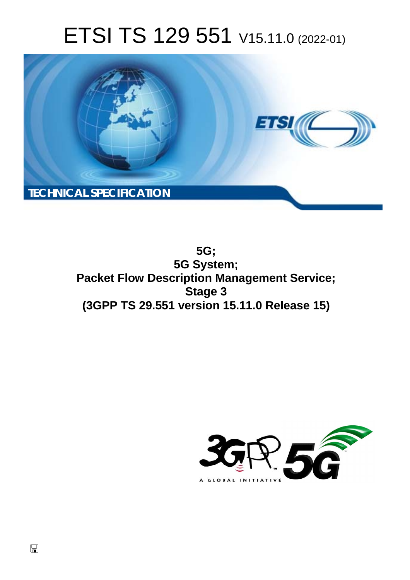# ETSI TS 129 551 V15.11.0 (2022-01)



**5G; 5G System; Packet Flow Description Management Service; Stage 3 (3GPP TS 29.551 version 15.11.0 Release 15)** 

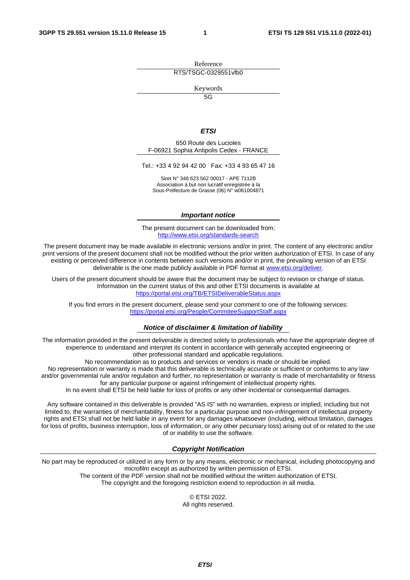Reference RTS/TSGC-0329551vfb0

Keywords

 $\overline{5G}$ 

#### *ETSI*

650 Route des Lucioles F-06921 Sophia Antipolis Cedex - FRANCE

Tel.: +33 4 92 94 42 00 Fax: +33 4 93 65 47 16

Siret N° 348 623 562 00017 - APE 7112B Association à but non lucratif enregistrée à la Sous-Préfecture de Grasse (06) N° w061004871

#### *Important notice*

The present document can be downloaded from: <http://www.etsi.org/standards-search>

The present document may be made available in electronic versions and/or in print. The content of any electronic and/or print versions of the present document shall not be modified without the prior written authorization of ETSI. In case of any existing or perceived difference in contents between such versions and/or in print, the prevailing version of an ETSI deliverable is the one made publicly available in PDF format at [www.etsi.org/deliver](http://www.etsi.org/deliver).

Users of the present document should be aware that the document may be subject to revision or change of status. Information on the current status of this and other ETSI documents is available at <https://portal.etsi.org/TB/ETSIDeliverableStatus.aspx>

If you find errors in the present document, please send your comment to one of the following services: <https://portal.etsi.org/People/CommiteeSupportStaff.aspx>

#### *Notice of disclaimer & limitation of liability*

The information provided in the present deliverable is directed solely to professionals who have the appropriate degree of experience to understand and interpret its content in accordance with generally accepted engineering or other professional standard and applicable regulations.

No recommendation as to products and services or vendors is made or should be implied.

No representation or warranty is made that this deliverable is technically accurate or sufficient or conforms to any law and/or governmental rule and/or regulation and further, no representation or warranty is made of merchantability or fitness for any particular purpose or against infringement of intellectual property rights.

In no event shall ETSI be held liable for loss of profits or any other incidental or consequential damages.

Any software contained in this deliverable is provided "AS IS" with no warranties, express or implied, including but not limited to, the warranties of merchantability, fitness for a particular purpose and non-infringement of intellectual property rights and ETSI shall not be held liable in any event for any damages whatsoever (including, without limitation, damages for loss of profits, business interruption, loss of information, or any other pecuniary loss) arising out of or related to the use of or inability to use the software.

#### *Copyright Notification*

No part may be reproduced or utilized in any form or by any means, electronic or mechanical, including photocopying and microfilm except as authorized by written permission of ETSI. The content of the PDF version shall not be modified without the written authorization of ETSI.

The copyright and the foregoing restriction extend to reproduction in all media.

© ETSI 2022. All rights reserved.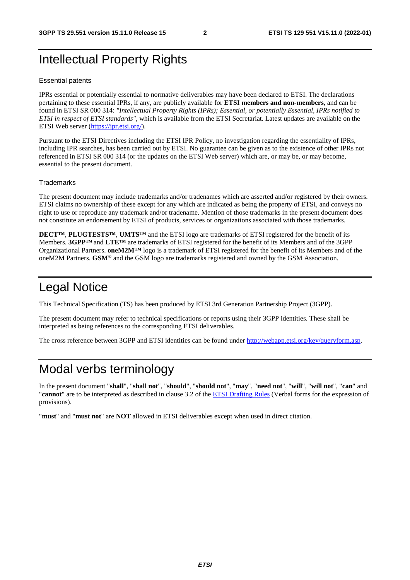# Intellectual Property Rights

#### Essential patents

IPRs essential or potentially essential to normative deliverables may have been declared to ETSI. The declarations pertaining to these essential IPRs, if any, are publicly available for **ETSI members and non-members**, and can be found in ETSI SR 000 314: *"Intellectual Property Rights (IPRs); Essential, or potentially Essential, IPRs notified to ETSI in respect of ETSI standards"*, which is available from the ETSI Secretariat. Latest updates are available on the ETSI Web server ([https://ipr.etsi.org/\)](https://ipr.etsi.org/).

Pursuant to the ETSI Directives including the ETSI IPR Policy, no investigation regarding the essentiality of IPRs, including IPR searches, has been carried out by ETSI. No guarantee can be given as to the existence of other IPRs not referenced in ETSI SR 000 314 (or the updates on the ETSI Web server) which are, or may be, or may become, essential to the present document.

#### **Trademarks**

The present document may include trademarks and/or tradenames which are asserted and/or registered by their owners. ETSI claims no ownership of these except for any which are indicated as being the property of ETSI, and conveys no right to use or reproduce any trademark and/or tradename. Mention of those trademarks in the present document does not constitute an endorsement by ETSI of products, services or organizations associated with those trademarks.

**DECT™**, **PLUGTESTS™**, **UMTS™** and the ETSI logo are trademarks of ETSI registered for the benefit of its Members. **3GPP™** and **LTE™** are trademarks of ETSI registered for the benefit of its Members and of the 3GPP Organizational Partners. **oneM2M™** logo is a trademark of ETSI registered for the benefit of its Members and of the oneM2M Partners. **GSM**® and the GSM logo are trademarks registered and owned by the GSM Association.

# Legal Notice

This Technical Specification (TS) has been produced by ETSI 3rd Generation Partnership Project (3GPP).

The present document may refer to technical specifications or reports using their 3GPP identities. These shall be interpreted as being references to the corresponding ETSI deliverables.

The cross reference between 3GPP and ETSI identities can be found under<http://webapp.etsi.org/key/queryform.asp>.

### Modal verbs terminology

In the present document "**shall**", "**shall not**", "**should**", "**should not**", "**may**", "**need not**", "**will**", "**will not**", "**can**" and "**cannot**" are to be interpreted as described in clause 3.2 of the [ETSI Drafting Rules](https://portal.etsi.org/Services/editHelp!/Howtostart/ETSIDraftingRules.aspx) (Verbal forms for the expression of provisions).

"**must**" and "**must not**" are **NOT** allowed in ETSI deliverables except when used in direct citation.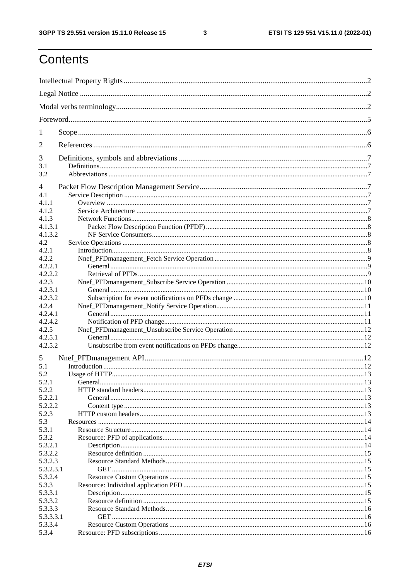$\mathbf{3}$ 

# Contents

| 1          |                |  |
|------------|----------------|--|
| 2          |                |  |
| 3          |                |  |
| 3.1<br>3.2 |                |  |
| 4          |                |  |
| 4.1        |                |  |
| 4.1.1      |                |  |
| 4.1.2      |                |  |
| 4.1.3      |                |  |
| 4.1.3.1    |                |  |
| 4.1.3.2    |                |  |
| 4.2        |                |  |
|            |                |  |
| 4.2.1      |                |  |
| 4.2.2      |                |  |
| 4.2.2.1    |                |  |
| 4.2.2.2    |                |  |
| 4.2.3      |                |  |
| 4.2.3.1    |                |  |
| 4.2.3.2    |                |  |
| 4.2.4      |                |  |
| 4.2.4.1    |                |  |
| 4.2.4.2    |                |  |
| 4.2.5      |                |  |
| 4.2.5.1    |                |  |
| 4.2.5.2    |                |  |
| 5          |                |  |
| 5.1        |                |  |
| 5.2        |                |  |
| 5.2.1      | <b>General</b> |  |
| 5.2.2      |                |  |
| 5.2.2.1    |                |  |
| 5.2.2.2    |                |  |
| 5.2.3      |                |  |
| 5.3        |                |  |
| 5.3.1      |                |  |
| 5.3.2      |                |  |
| 5.3.2.1    |                |  |
| 5.3.2.2    |                |  |
| 5.3.2.3    |                |  |
|            |                |  |
| 5.3.2.3.1  |                |  |
| 5.3.2.4    |                |  |
| 5.3.3      |                |  |
| 5.3.3.1    |                |  |
| 5.3.3.2    |                |  |
| 5.3.3.3    |                |  |
| 5.3.3.3.1  |                |  |
| 5.3.3.4    |                |  |
| 5.3.4      |                |  |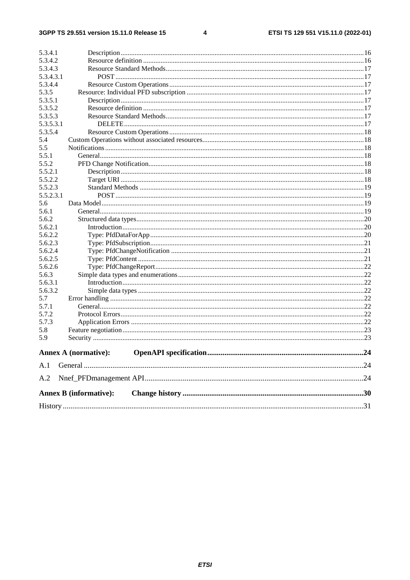#### $\overline{\mathbf{4}}$

| 5.3.4.1   |                               |  |
|-----------|-------------------------------|--|
| 5.3.4.2   |                               |  |
| 5.3.4.3   |                               |  |
| 5.3.4.3.1 |                               |  |
| 5.3.4.4   |                               |  |
| 5.3.5     |                               |  |
| 5.3.5.1   |                               |  |
| 5.3.5.2   |                               |  |
| 5.3.5.3   |                               |  |
| 5.3.5.3.1 |                               |  |
| 5.3.5.4   |                               |  |
| 5.4       |                               |  |
| 5.5       |                               |  |
| 5.5.1     |                               |  |
| 5.5.2     |                               |  |
| 5.5.2.1   |                               |  |
| 5.5.2.2   |                               |  |
| 5.5.2.3   |                               |  |
| 5.5.2.3.1 |                               |  |
| 5.6       |                               |  |
| 5.6.1     |                               |  |
| 5.6.2     |                               |  |
| 5.6.2.1   |                               |  |
| 5.6.2.2   |                               |  |
| 5.6.2.3   |                               |  |
| 5.6.2.4   |                               |  |
| 5.6.2.5   |                               |  |
| 5.6.2.6   |                               |  |
| 5.6.3     |                               |  |
| 5.6.3.1   |                               |  |
| 5.6.3.2   |                               |  |
| 5.7       |                               |  |
| 5.7.1     |                               |  |
| 5.7.2     |                               |  |
| 5.7.3     |                               |  |
| 5.8       |                               |  |
| 5.9       |                               |  |
|           | <b>Annex A (normative):</b>   |  |
| A.1       |                               |  |
| A.2       |                               |  |
|           | <b>Annex B</b> (informative): |  |
|           |                               |  |
|           |                               |  |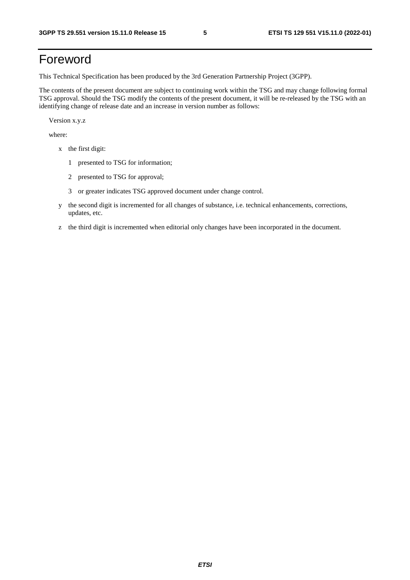# Foreword

This Technical Specification has been produced by the 3rd Generation Partnership Project (3GPP).

The contents of the present document are subject to continuing work within the TSG and may change following formal TSG approval. Should the TSG modify the contents of the present document, it will be re-released by the TSG with an identifying change of release date and an increase in version number as follows:

Version x.y.z

where:

- x the first digit:
	- 1 presented to TSG for information;
	- 2 presented to TSG for approval;
	- 3 or greater indicates TSG approved document under change control.
- y the second digit is incremented for all changes of substance, i.e. technical enhancements, corrections, updates, etc.
- z the third digit is incremented when editorial only changes have been incorporated in the document.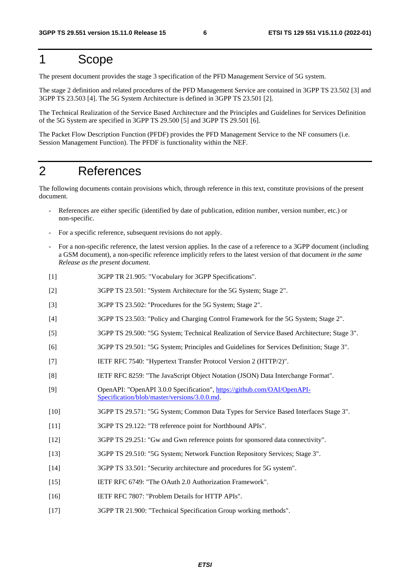# 1 Scope

The present document provides the stage 3 specification of the PFD Management Service of 5G system.

The stage 2 definition and related procedures of the PFD Management Service are contained in 3GPP TS 23.502 [3] and 3GPP TS 23.503 [4]. The 5G System Architecture is defined in 3GPP TS 23.501 [2].

The Technical Realization of the Service Based Architecture and the Principles and Guidelines for Services Definition of the 5G System are specified in 3GPP TS 29.500 [5] and 3GPP TS 29.501 [6].

The Packet Flow Description Function (PFDF) provides the PFD Management Service to the NF consumers (i.e. Session Management Function). The PFDF is functionality within the NEF.

### 2 References

The following documents contain provisions which, through reference in this text, constitute provisions of the present document.

- References are either specific (identified by date of publication, edition number, version number, etc.) or non-specific.
- For a specific reference, subsequent revisions do not apply.
- For a non-specific reference, the latest version applies. In the case of a reference to a 3GPP document (including a GSM document), a non-specific reference implicitly refers to the latest version of that document *in the same Release as the present document*.
- [1] 3GPP TR 21.905: "Vocabulary for 3GPP Specifications".
- [2] 3GPP TS 23.501: "System Architecture for the 5G System; Stage 2".
- [3] 3GPP TS 23.502: "Procedures for the 5G System; Stage 2".
- [4] 3GPP TS 23.503: "Policy and Charging Control Framework for the 5G System; Stage 2".
- [5] 3GPP TS 29.500: "5G System; Technical Realization of Service Based Architecture; Stage 3".
- [6] 3GPP TS 29.501: "5G System; Principles and Guidelines for Services Definition; Stage 3".
- [7] IETF RFC 7540: "Hypertext Transfer Protocol Version 2 (HTTP/2)".
- [8] IETF RFC 8259: "The JavaScript Object Notation (JSON) Data Interchange Format".
- [9] OpenAPI: "OpenAPI 3.0.0 Specification", [https://github.com/OAI/OpenAPI](https://github.com/OAI/OpenAPI-Specification/blob/master/versions/3.0.0.md)-[Specification/blob/master/versions/3.0.0.md](https://github.com/OAI/OpenAPI-Specification/blob/master/versions/3.0.0.md).
- [10] 3GPP TS 29.571: "5G System; Common Data Types for Service Based Interfaces Stage 3".
- [11] 3GPP TS 29.122: "T8 reference point for Northbound APIs".
- [12] 3GPP TS 29.251: "Gw and Gwn reference points for sponsored data connectivity".
- [13] 3GPP TS 29.510: "5G System; Network Function Repository Services; Stage 3".
- [14] 3GPP TS 33.501: "Security architecture and procedures for 5G system".
- [15] IETF RFC 6749: "The OAuth 2.0 Authorization Framework".
- [16] IETF RFC 7807: "Problem Details for HTTP APIs".
- [17] 3GPP TR 21.900: "Technical Specification Group working methods".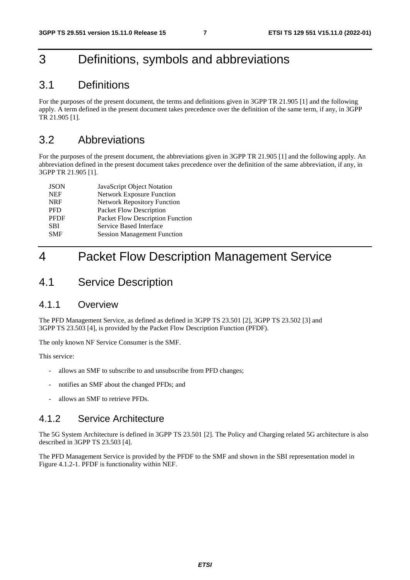# 3 Definitions, symbols and abbreviations

### 3.1 Definitions

For the purposes of the present document, the terms and definitions given in 3GPP TR 21.905 [1] and the following apply. A term defined in the present document takes precedence over the definition of the same term, if any, in 3GPP TR 21.905 [1].

### 3.2 Abbreviations

For the purposes of the present document, the abbreviations given in 3GPP TR 21.905 [1] and the following apply. An abbreviation defined in the present document takes precedence over the definition of the same abbreviation, if any, in 3GPP TR 21.905 [1].

| <b>JSON</b> | JavaScript Object Notation         |
|-------------|------------------------------------|
| <b>NEF</b>  | <b>Network Exposure Function</b>   |
| <b>NRF</b>  | <b>Network Repository Function</b> |
| <b>PFD</b>  | Packet Flow Description            |
| <b>PFDF</b> | Packet Flow Description Function   |
| <b>SBI</b>  | Service Based Interface            |
| <b>SMF</b>  | <b>Session Management Function</b> |

# 4 Packet Flow Description Management Service

### 4.1 Service Description

### 4.1.1 Overview

The PFD Management Service, as defined as defined in 3GPP TS 23.501 [2], 3GPP TS 23.502 [3] and 3GPP TS 23.503 [4], is provided by the Packet Flow Description Function (PFDF).

The only known NF Service Consumer is the SMF.

This service:

- allows an SMF to subscribe to and unsubscribe from PFD changes;
- notifies an SMF about the changed PFDs; and
- allows an SMF to retrieve PFDs.

### 4.1.2 Service Architecture

The 5G System Architecture is defined in 3GPP TS 23.501 [2]. The Policy and Charging related 5G architecture is also described in 3GPP TS 23.503 [4].

The PFD Management Service is provided by the PFDF to the SMF and shown in the SBI representation model in Figure 4.1.2-1. PFDF is functionality within NEF.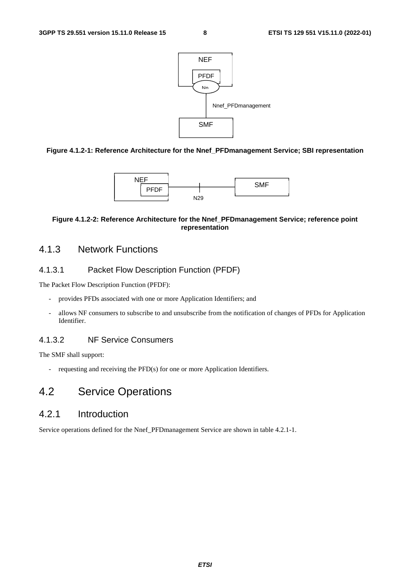

#### **Figure 4.1.2-1: Reference Architecture for the Nnef\_PFDmanagement Service; SBI representation**



#### **Figure 4.1.2-2: Reference Architecture for the Nnef\_PFDmanagement Service; reference point representation**

### 4.1.3 Network Functions

#### 4.1.3.1 Packet Flow Description Function (PFDF)

The Packet Flow Description Function (PFDF):

- provides PFDs associated with one or more Application Identifiers; and
- allows NF consumers to subscribe to and unsubscribe from the notification of changes of PFDs for Application Identifier.

### 4.1.3.2 NF Service Consumers

The SMF shall support:

- requesting and receiving the PFD(s) for one or more Application Identifiers.

### 4.2 Service Operations

### 4.2.1 Introduction

Service operations defined for the Nnef\_PFDmanagement Service are shown in table 4.2.1-1.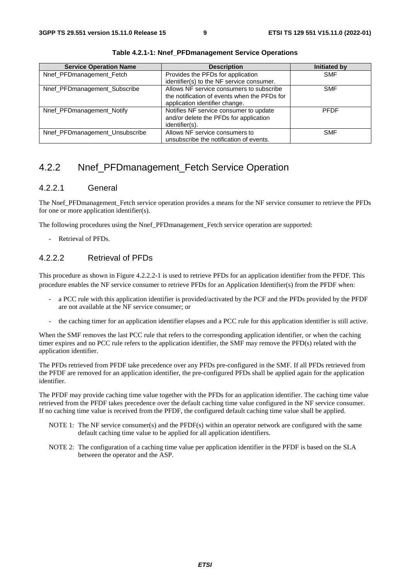| <b>Service Operation Name</b>  | <b>Description</b>                           | Initiated by |
|--------------------------------|----------------------------------------------|--------------|
| Nnef_PFDmanagement_Fetch       | Provides the PFDs for application            | <b>SMF</b>   |
|                                | identifier(s) to the NF service consumer.    |              |
| Nnef_PFDmanagement_Subscribe   | Allows NF service consumers to subscribe     | <b>SMF</b>   |
|                                | the notification of events when the PFDs for |              |
|                                | application identifier change.               |              |
| Nnef_PFDmanagement_Notify      | Notifies NF service consumer to update       | <b>PFDF</b>  |
|                                | and/or delete the PFDs for application       |              |
|                                | identifier(s).                               |              |
| Nnef_PFDmanagement_Unsubscribe | Allows NF service consumers to               | <b>SMF</b>   |
|                                | unsubscribe the notification of events.      |              |

**Table 4.2.1-1: Nnef\_PFDmanagement Service Operations**

### 4.2.2 Nnef PFDmanagement Fetch Service Operation

#### 4.2.2.1 General

The Nnef PFDmanagement Fetch service operation provides a means for the NF service consumer to retrieve the PFDs for one or more application identifier(s).

The following procedures using the Nnef\_PFDmanagement\_Fetch service operation are supported:

Retrieval of PFDs.

#### 4.2.2.2 Retrieval of PFDs

This procedure as shown in Figure 4.2.2.2-1 is used to retrieve PFDs for an application identifier from the PFDF. This procedure enables the NF service consumer to retrieve PFDs for an Application Identifier(s) from the PFDF when:

- a PCC rule with this application identifier is provided/activated by the PCF and the PFDs provided by the PFDF are not available at the NF service consumer; or
- the caching timer for an application identifier elapses and a PCC rule for this application identifier is still active.

When the SMF removes the last PCC rule that refers to the corresponding application identifier, or when the caching timer expires and no PCC rule refers to the application identifier, the SMF may remove the PFD(s) related with the application identifier.

The PFDs retrieved from PFDF take precedence over any PFDs pre-configured in the SMF. If all PFDs retrieved from the PFDF are removed for an application identifier, the pre-configured PFDs shall be applied again for the application identifier.

The PFDF may provide caching time value together with the PFDs for an application identifier. The caching time value retrieved from the PFDF takes precedence over the default caching time value configured in the NF service consumer. If no caching time value is received from the PFDF, the configured default caching time value shall be applied.

- NOTE 1: The NF service consumer(s) and the PFDF(s) within an operator network are configured with the same default caching time value to be applied for all application identifiers.
- NOTE 2: The configuration of a caching time value per application identifier in the PFDF is based on the SLA between the operator and the ASP.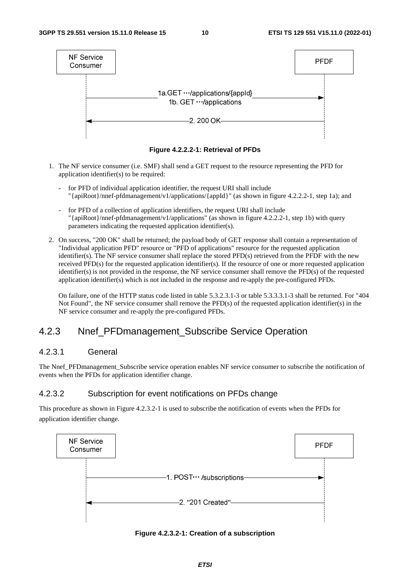

**Figure 4.2.2.2-1: Retrieval of PFDs** 

- 1. The NF service consumer (i.e. SMF) shall send a GET request to the resource representing the PFD for application identifier(s) to be required:
	- for PFD of individual application identifier, the request URI shall include "{apiRoot}/nnef-pfdmanagement/v1/applications/{appId}" (as shown in figure 4.2.2.2-1, step 1a); and
	- for PFD of a collection of application identifiers, the request URI shall include "{apiRoot}/nnef-pfdmanagement/v1/applications" (as shown in figure 4.2.2.2-1, step 1b) with query parameters indicating the requested application identifier(s).
- 2. On success, "200 OK" shall be returned; the payload body of GET response shall contain a representation of "Individual application PFD" resource or "PFD of applications" resource for the requested application identifier(s). The NF service consumer shall replace the stored PFD(s) retrieved from the PFDF with the new received PFD(s) for the requested application identifier(s). If the resource of one or more requested application identifier(s) is not provided in the response, the NF service consumer shall remove the PFD(s) of the requested application identifier(s) which is not included in the response and re-apply the pre-configured PFDs.

On failure, one of the HTTP status code listed in table 5.3.2.3.1-3 or table 5.3.3.3.1-3 shall be returned. For "404 Not Found", the NF service consumer shall remove the PFD(s) of the requested application identifier(s) in the NF service consumer and re-apply the pre-configured PFDs.

### 4.2.3 Nnef\_PFDmanagement\_Subscribe Service Operation

#### 4.2.3.1 General

The Nnef PFDmanagement Subscribe service operation enables NF service consumer to subscribe the notification of events when the PFDs for application identifier change.

#### 4.2.3.2 Subscription for event notifications on PFDs change

This procedure as shown in Figure 4.2.3.2-1 is used to subscribe the notification of events when the PFDs for application identifier change.



**Figure 4.2.3.2-1: Creation of a subscription**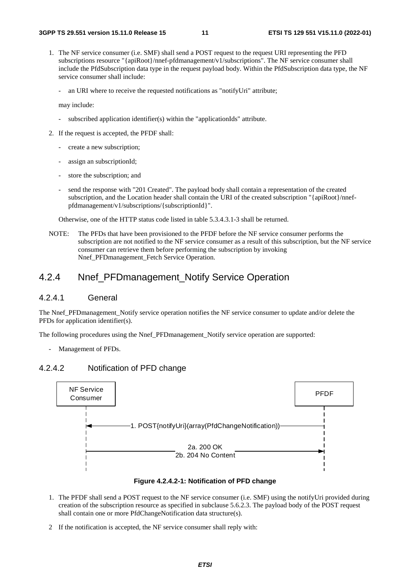- 1. The NF service consumer (i.e. SMF) shall send a POST request to the request URI representing the PFD subscriptions resource "{apiRoot}/nnef-pfdmanagement/v1/subscriptions". The NF service consumer shall include the PfdSubscription data type in the request payload body. Within the PfdSubscription data type, the NF service consumer shall include:
	- an URI where to receive the requested notifications as "notifyUri" attribute;

may include:

- subscribed application identifier(s) within the "applicationIds" attribute.
- 2. If the request is accepted, the PFDF shall:
	- create a new subscription;
	- assign an subscriptionId;
	- store the subscription; and
	- send the response with "201 Created". The payload body shall contain a representation of the created subscription, and the Location header shall contain the URI of the created subscription "{apiRoot}/nnefpfdmanagement/v1/subscriptions/{subscriptionId}".

Otherwise, one of the HTTP status code listed in table 5.3.4.3.1-3 shall be returned.

NOTE: The PFDs that have been provisioned to the PFDF before the NF service consumer performs the subscription are not notified to the NF service consumer as a result of this subscription, but the NF service consumer can retrieve them before performing the subscription by invoking Nnef PFDmanagement Fetch Service Operation.

#### 4.2.4 Nnef\_PFDmanagement\_Notify Service Operation

#### 4.2.4.1 General

The Nnef\_PFDmanagement\_Notify service operation notifies the NF service consumer to update and/or delete the PFDs for application identifier(s).

The following procedures using the Nnef\_PFDmanagement\_Notify service operation are supported:

- Management of PFDs.

### 4.2.4.2 Notification of PFD change



**Figure 4.2.4.2-1: Notification of PFD change** 

- 1. The PFDF shall send a POST request to the NF service consumer (i.e. SMF) using the notifyUri provided during creation of the subscription resource as specified in subclause 5.6.2.3. The payload body of the POST request shall contain one or more PfdChangeNotification data structure(s).
- 2 If the notification is accepted, the NF service consumer shall reply with: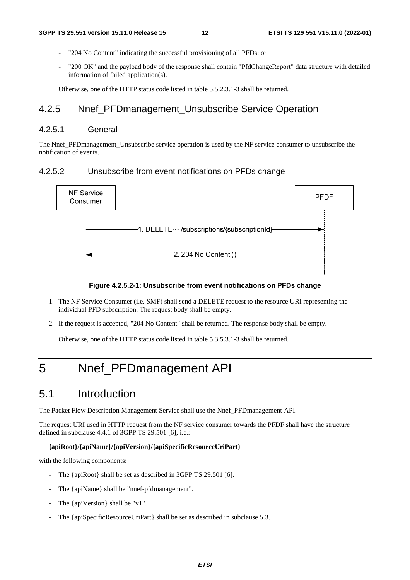- "204 No Content" indicating the successful provisioning of all PFDs; or
- "200 OK" and the payload body of the response shall contain "PfdChangeReport" data structure with detailed information of failed application(s).

Otherwise, one of the HTTP status code listed in table 5.5.2.3.1-3 shall be returned.

### 4.2.5 Nnef PFDmanagement Unsubscribe Service Operation

### 4.2.5.1 General

The Nnef\_PFDmanagement\_Unsubscribe service operation is used by the NF service consumer to unsubscribe the notification of events.

### 4.2.5.2 Unsubscribe from event notifications on PFDs change



**Figure 4.2.5.2-1: Unsubscribe from event notifications on PFDs change** 

- 1. The NF Service Consumer (i.e. SMF) shall send a DELETE request to the resource URI representing the individual PFD subscription. The request body shall be empty.
- 2. If the request is accepted, "204 No Content" shall be returned. The response body shall be empty.

Otherwise, one of the HTTP status code listed in table 5.3.5.3.1-3 shall be returned.

# 5 Nnef\_PFDmanagement API

# 5.1 Introduction

The Packet Flow Description Management Service shall use the Nnef\_PFDmanagement API.

The request URI used in HTTP request from the NF service consumer towards the PFDF shall have the structure defined in subclause 4.4.1 of 3GPP TS 29.501 [6], i.e.:

#### **{apiRoot}/{apiName}/{apiVersion}/{apiSpecificResourceUriPart}**

with the following components:

- The {apiRoot} shall be set as described in 3GPP TS 29.501 [6].
- The {apiName} shall be "nnef-pfdmanagement".
- The {apiVersion} shall be "v1".
- The {apiSpecificResourceUriPart} shall be set as described in subclause 5.3.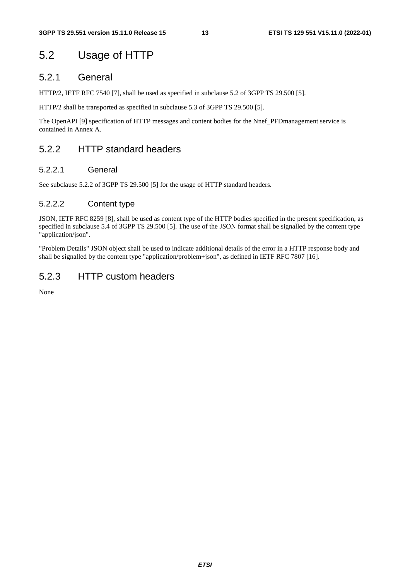# 5.2 Usage of HTTP

### 5.2.1 General

HTTP/2, IETF RFC 7540 [7], shall be used as specified in subclause 5.2 of 3GPP TS 29.500 [5].

HTTP/2 shall be transported as specified in subclause 5.3 of 3GPP TS 29.500 [5].

The OpenAPI [9] specification of HTTP messages and content bodies for the Nnef\_PFDmanagement service is contained in Annex A.

### 5.2.2 HTTP standard headers

#### 5.2.2.1 General

See subclause 5.2.2 of 3GPP TS 29.500 [5] for the usage of HTTP standard headers.

#### 5.2.2.2 Content type

JSON, IETF RFC 8259 [8], shall be used as content type of the HTTP bodies specified in the present specification, as specified in subclause 5.4 of 3GPP TS 29.500 [5]. The use of the JSON format shall be signalled by the content type "application/json".

"Problem Details" JSON object shall be used to indicate additional details of the error in a HTTP response body and shall be signalled by the content type "application/problem+json", as defined in IETF RFC 7807 [16].

### 5.2.3 HTTP custom headers

None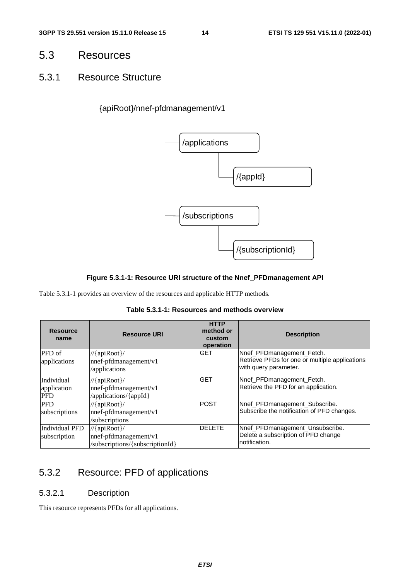### 5.3 Resources

### 5.3.1 Resource Structure

### {apiRoot}/nnef-pfdmanagement/v1



#### **Figure 5.3.1-1: Resource URI structure of the Nnef\_PFDmanagement API**

Table 5.3.1-1 provides an overview of the resources and applicable HTTP methods.

| Table 5.3.1-1: Resources and methods overview |  |  |  |
|-----------------------------------------------|--|--|--|
|-----------------------------------------------|--|--|--|

| <b>Resource</b><br>name                 | <b>Resource URI</b>                                                           | <b>HTTP</b><br>method or<br>custom<br>operation | <b>Description</b>                                                                                   |
|-----------------------------------------|-------------------------------------------------------------------------------|-------------------------------------------------|------------------------------------------------------------------------------------------------------|
| PFD of<br>applications                  | $//{apiRoot}/$<br>nnef-pfdmanagement/v1<br>/applications                      | <b>GET</b>                                      | Nnef_PFDmanagement_Fetch.<br>Retrieve PFDs for one or multiple applications<br>with query parameter. |
| Individual<br>application<br><b>PFD</b> | $//{apiRoot}/$<br>nnef-pfdmanagement/v1<br>/applications/{appId}              | <b>GET</b>                                      | Nnef_PFDmanagement_Fetch.<br>Retrieve the PFD for an application.                                    |
| <b>PFD</b><br>subscriptions             | $//{apiRoot}/$<br>nnef-pfdmanagement/v1<br>/subscriptions                     | <b>POST</b>                                     | Nnef_PFDmanagement_Subscribe.<br>Subscribe the notification of PFD changes.                          |
| <b>Individual PFD</b><br>subscription   | $//{apiRoot}/$<br>$nnef$ -pfdmanagement/v1<br>/subscriptions/{subscriptionId} | <b>IDELETE</b>                                  | Nnef_PFDmanagement_Unsubscribe.<br>Delete a subscription of PFD change<br>notification.              |

### 5.3.2 Resource: PFD of applications

#### 5.3.2.1 Description

This resource represents PFDs for all applications.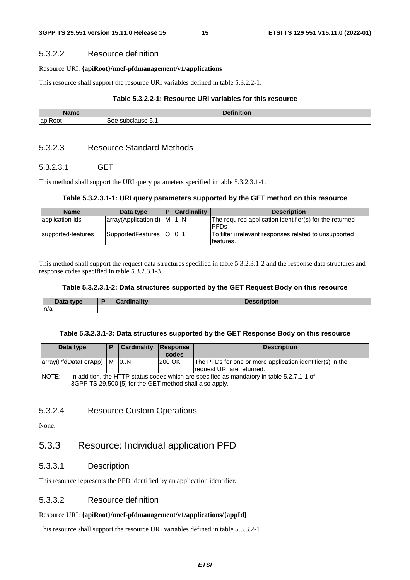#### 5.3.2.2 Resource definition

#### Resource URI: **{apiRoot}/nnef-pfdmanagement/v1/applications**

This resource shall support the resource URI variables defined in table 5.3.2.2-1.

#### **Table 5.3.2.2-1: Resource URI variables for this resource**

| Name                     | .<br>D <sub>0</sub><br>4VB. |  |  |  |  |
|--------------------------|-----------------------------|--|--|--|--|
| $\overline{\phantom{a}}$ | subclause 5.1               |  |  |  |  |
| lapiRoot                 | see                         |  |  |  |  |

#### 5.3.2.3 Resource Standard Methods

#### 5.3.2.3.1 GET

This method shall support the URI query parameters specified in table 5.3.2.3.1-1.

#### **Table 5.3.2.3.1-1: URI query parameters supported by the GET method on this resource**

| <b>Name</b>        | Data type                  | ID | <b>Cardinality</b> | <b>Description</b>                                      |
|--------------------|----------------------------|----|--------------------|---------------------------------------------------------|
| application-ids    | array(ApplicationId) M 1.N |    |                    | The required application identifier(s) for the returned |
|                    |                            |    |                    | <b>PFDs</b>                                             |
| supported-features | SupportedFeatures          |    | $\cup$ 101         | To filter irrelevant responses related to unsupported   |
|                    |                            |    |                    | lfeatures.                                              |

This method shall support the request data structures specified in table 5.3.2.3.1-2 and the response data structures and response codes specified in table 5.3.2.3.1-3.

#### **Table 5.3.2.3.1-2: Data structures supported by the GET Request Body on this resource**

| Data type | œ | <b>Contract Callery</b><br>Cardinality | <b>Description</b> |
|-----------|---|----------------------------------------|--------------------|
| n/a       |   |                                        |                    |

#### **Table 5.3.2.3.1-3: Data structures supported by the GET Response Body on this resource**

| Data type                                                                                          |                                                         | Cardinality | Response      | <b>Description</b>                                        |  |  |
|----------------------------------------------------------------------------------------------------|---------------------------------------------------------|-------------|---------------|-----------------------------------------------------------|--|--|
|                                                                                                    |                                                         |             | codes         |                                                           |  |  |
| array(PfdDataForApp)   M   0.N                                                                     |                                                         |             | <b>200 OK</b> | The PFDs for one or more application identifier(s) in the |  |  |
|                                                                                                    |                                                         |             |               | Irequest URI are returned.                                |  |  |
| NOTE:<br>In addition, the HTTP status codes which are specified as mandatory in table 5.2.7.1-1 of |                                                         |             |               |                                                           |  |  |
|                                                                                                    | 3GPP TS 29.500 [5] for the GET method shall also apply. |             |               |                                                           |  |  |

#### 5.3.2.4 Resource Custom Operations

None.

### 5.3.3 Resource: Individual application PFD

#### 5.3.3.1 Description

This resource represents the PFD identified by an application identifier.

#### 5.3.3.2 Resource definition

#### Resource URI: **{apiRoot}/nnef-pfdmanagement/v1/applications/{appId}**

This resource shall support the resource URI variables defined in table 5.3.3.2-1.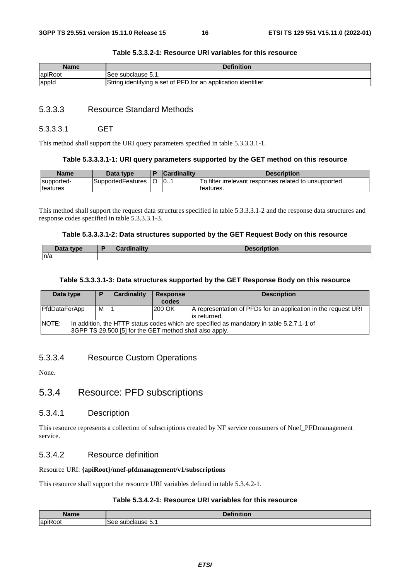| <b>Name</b> | <b>Definition</b>                                              |  |
|-------------|----------------------------------------------------------------|--|
| apiRoot     | See subclause 5.1.                                             |  |
| appid       | String identifying a set of PFD for an application identifier. |  |

#### **Table 5.3.3.2-1: Resource URI variables for this resource**

#### 5.3.3.3 Resource Standard Methods

#### 5.3.3.3.1 GET

This method shall support the URI query parameters specified in table 5.3.3.3.1-1.

#### **Table 5.3.3.3.1-1: URI query parameters supported by the GET method on this resource**

| <b>Name</b>      | Data type         | <b>Cardinality</b> | Description                                           |
|------------------|-------------------|--------------------|-------------------------------------------------------|
| supported-       | SupportedFeatures | 10                 | To filter irrelevant responses related to unsupported |
| <b>Ifeatures</b> |                   |                    | teatures.                                             |

This method shall support the request data structures specified in table 5.3.3.3.1-2 and the response data structures and response codes specified in table 5.3.3.3.1-3.

#### **Table 5.3.3.3.1-2: Data structures supported by the GET Request Body on this resource**

| Data type | <b>Cordinality</b><br>Cardinality | <b>Description</b> |
|-----------|-----------------------------------|--------------------|
| ln/a      |                                   |                    |

#### **Table 5.3.3.3.1-3: Data structures supported by the GET Response Body on this resource**

| Data type                                                                                                                                                     | D | Cardinality | <b>Response</b><br>codes | <b>Description</b>                                                              |
|---------------------------------------------------------------------------------------------------------------------------------------------------------------|---|-------------|--------------------------|---------------------------------------------------------------------------------|
| PfdDataForApp                                                                                                                                                 | м |             | 200 OK                   | A representation of PFDs for an application in the request URI<br>lis returned. |
| NOTE:<br>In addition, the HTTP status codes which are specified as mandatory in table 5.2.7.1-1 of<br>3GPP TS 29.500 [5] for the GET method shall also apply. |   |             |                          |                                                                                 |

#### 5.3.3.4 Resource Custom Operations

None.

### 5.3.4 Resource: PFD subscriptions

#### 5.3.4.1 Description

This resource represents a collection of subscriptions created by NF service consumers of Nnef\_PFDmanagement service.

#### 5.3.4.2 Resource definition

#### Resource URI: **{apiRoot}/nnef-pfdmanagement/v1/subscriptions**

This resource shall support the resource URI variables defined in table 5.3.4.2-1.

#### **Table 5.3.4.2-1: Resource URI variables for this resource**

| <b>Nomo</b>                  | $\sim$<br>$\mathbf{r}$                       |
|------------------------------|----------------------------------------------|
| $\cdot$ $-$<br>lapil<br>:OO1 | $\sim$<br>$\alpha$<br>10<br>ciause p. i<br>- |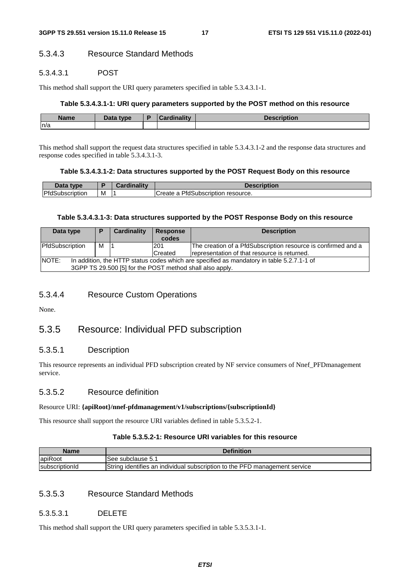#### 5.3.4.3 Resource Standard Methods

#### 5.3.4.3.1 POST

This method shall support the URI query parameters specified in table 5.3.4.3.1-1.

#### **Table 5.3.4.3.1-1: URI query parameters supported by the POST method on this resource**

| <b>Name</b> | <b>That ivpe</b><br>Dald | ı. | ainolity and the second state of the second state of the second state of the second state of the second state in the second state in the second state in the second state in the second state in the second state in the secon | <b>Incorportar</b><br><b>DESCRIPTION</b> |
|-------------|--------------------------|----|--------------------------------------------------------------------------------------------------------------------------------------------------------------------------------------------------------------------------------|------------------------------------------|
| n/a         |                          |    |                                                                                                                                                                                                                                |                                          |

This method shall support the request data structures specified in table 5.3.4.3.1-2 and the response data structures and response codes specified in table 5.3.4.3.1-3.

#### **Table 5.3.4.3.1-2: Data structures supported by the POST Request Body on this resource**

| Data type       |   | Cardinalitv | <b>Description</b>                  |
|-----------------|---|-------------|-------------------------------------|
| PfdSubscription | M |             | lCreate a PfdSubscription resource. |

#### **Table 5.3.4.3.1-3: Data structures supported by the POST Response Body on this resource**

| Data type                                                                                                                                                             |   | Cardinality | <b>Response</b><br>codes | <b>Description</b>                                                                                            |
|-----------------------------------------------------------------------------------------------------------------------------------------------------------------------|---|-------------|--------------------------|---------------------------------------------------------------------------------------------------------------|
| PfdSubscription                                                                                                                                                       | м |             | 201<br>Created           | The creation of a PfdSubscription resource is confirmed and a<br>representation of that resource is returned. |
| <b>NOTE:</b><br>In addition, the HTTP status codes which are specified as mandatory in table 5.2.7.1-1 of<br>3GPP TS 29.500 [5] for the POST method shall also apply. |   |             |                          |                                                                                                               |

#### 5.3.4.4 Resource Custom Operations

None.

### 5.3.5 Resource: Individual PFD subscription

#### 5.3.5.1 Description

This resource represents an individual PFD subscription created by NF service consumers of Nnef\_PFDmanagement service.

#### 5.3.5.2 Resource definition

#### Resource URI: **{apiRoot}/nnef-pfdmanagement/v1/subscriptions/{subscriptionId}**

This resource shall support the resource URI variables defined in table 5.3.5.2-1.

#### **Table 5.3.5.2-1: Resource URI variables for this resource**

| <b>Name</b>    | <b>Definition</b>                                                          |
|----------------|----------------------------------------------------------------------------|
| apiRoot        | See subclause 5.1                                                          |
| subscriptionId | String identifies an individual subscription to the PFD management service |

#### 5.3.5.3 Resource Standard Methods

#### 5.3.5.3.1 DELETE

This method shall support the URI query parameters specified in table 5.3.5.3.1-1.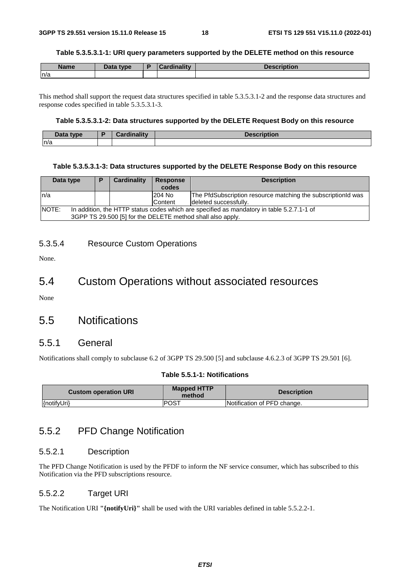#### **Table 5.3.5.3.1-1: URI query parameters supported by the DELETE method on this resource**

| <b>Name</b> | Data type | <b>Cardinality</b> | Description |
|-------------|-----------|--------------------|-------------|
| ln/a        |           |                    |             |

This method shall support the request data structures specified in table 5.3.5.3.1-2 and the response data structures and response codes specified in table 5.3.5.3.1-3.

#### **Table 5.3.5.3.1-2: Data structures supported by the DELETE Request Body on this resource**

| Data type | Cardinality<br>alallur. | - - - - -<br>Descri- |
|-----------|-------------------------|----------------------|
| n/a       |                         |                      |

#### **Table 5.3.5.3.1-3: Data structures supported by the DELETE Response Body on this resource**

| Data type    | D                                                                                                                                                       | Cardinality | <b>Response</b><br>codes | <b>Description</b>                                                                    |
|--------------|---------------------------------------------------------------------------------------------------------------------------------------------------------|-------------|--------------------------|---------------------------------------------------------------------------------------|
| ln/a         |                                                                                                                                                         |             | 204 No<br><b>Content</b> | The PfdSubscription resource matching the subscriptionId was<br>deleted successfully. |
| <b>NOTE:</b> | In addition, the HTTP status codes which are specified as mandatory in table 5.2.7.1-1 of<br>3GPP TS 29.500 [5] for the DELETE method shall also apply. |             |                          |                                                                                       |

#### 5.3.5.4 Resource Custom Operations

None.

### 5.4 Custom Operations without associated resources

None

### 5.5 Notifications

#### 5.5.1 General

Notifications shall comply to subclause 6.2 of 3GPP TS 29.500 [5] and subclause 4.6.2.3 of 3GPP TS 29.501 [6].

#### **Table 5.5.1-1: Notifications**

| <b>Custom operation URI</b> | <b>Mapped HTTP</b><br>method | <b>Description</b>          |
|-----------------------------|------------------------------|-----------------------------|
| {notifyUri}                 | IPOST                        | Notification of PFD change. |

### 5.5.2 PFD Change Notification

#### 5.5.2.1 Description

The PFD Change Notification is used by the PFDF to inform the NF service consumer, which has subscribed to this Notification via the PFD subscriptions resource.

#### 5.5.2.2 Target URI

The Notification URI **"{notifyUri}"** shall be used with the URI variables defined in table 5.5.2.2-1.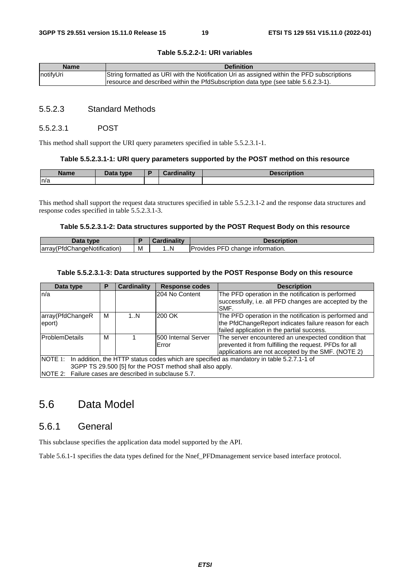| <b>Name</b> | <b>Definition</b>                                                                                                                                                                |
|-------------|----------------------------------------------------------------------------------------------------------------------------------------------------------------------------------|
| notifyUri   | String formatted as URI with the Notification Uri as assigned within the PFD subscriptions<br>resource and described within the PfdSubscription data type (see table 5.6.2.3-1). |

#### **Table 5.5.2.2-1: URI variables**

#### 5.5.2.3 Standard Methods

#### 5.5.2.3.1 POST

This method shall support the URI query parameters specified in table 5.5.2.3.1-1.

#### **Table 5.5.2.3.1-1: URI query parameters supported by the POST method on this resource**

| Name | That<br>type<br>Dala | <b>Time Histor</b><br><b>Pord</b> | <b>Jonarintian</b><br>INUUT. |
|------|----------------------|-----------------------------------|------------------------------|
| n/a  |                      |                                   |                              |

This method shall support the request data structures specified in table 5.5.2.3.1-2 and the response data structures and response codes specified in table 5.5.2.3.1-3.

#### **Table 5.5.2.3.1-2: Data structures supported by the POST Request Body on this resource**

| Data type                    |   | Cardinalitv | <b>Description</b>                                     |
|------------------------------|---|-------------|--------------------------------------------------------|
| array(PfdChangeNotification) | M | . N         | <b>PFD</b><br><b>Provides</b><br>D change information. |

#### **Table 5.5.2.3.1-3: Data structures supported by the POST Response Body on this resource**

| Data type                                                                                         | Р | <b>Cardinality</b> | <b>Response codes</b> | <b>Description</b>                                     |  |
|---------------------------------------------------------------------------------------------------|---|--------------------|-----------------------|--------------------------------------------------------|--|
| ln/a                                                                                              |   |                    | I204 No Content       | The PFD operation in the notification is performed     |  |
|                                                                                                   |   |                    |                       | successfully, i.e. all PFD changes are accepted by the |  |
|                                                                                                   |   |                    |                       | SMF.                                                   |  |
| array(PfdChangeR                                                                                  | м | 1N                 | 200 OK                | The PFD operation in the notification is performed and |  |
| eport)                                                                                            |   |                    |                       | the PfdChangeReport indicates failure reason for each  |  |
|                                                                                                   |   |                    |                       | failed application in the partial success.             |  |
| <b>IProblemDetails</b>                                                                            | м |                    | 500 Internal Server   | The server encountered an unexpected condition that    |  |
|                                                                                                   |   |                    | <b>Error</b>          | prevented it from fulfilling the request. PFDs for all |  |
|                                                                                                   |   |                    |                       | applications are not accepted by the SMF. (NOTE 2)     |  |
| NOTE 1: In addition, the HTTP status codes which are specified as mandatory in table 5.2.7.1-1 of |   |                    |                       |                                                        |  |
| 3GPP TS 29.500 [5] for the POST method shall also apply.                                          |   |                    |                       |                                                        |  |
| NOTE 2: Failure cases are described in subclause 5.7.                                             |   |                    |                       |                                                        |  |

### 5.6 Data Model

### 5.6.1 General

This subclause specifies the application data model supported by the API.

Table 5.6.1-1 specifies the data types defined for the Nnef\_PFDmanagement service based interface protocol.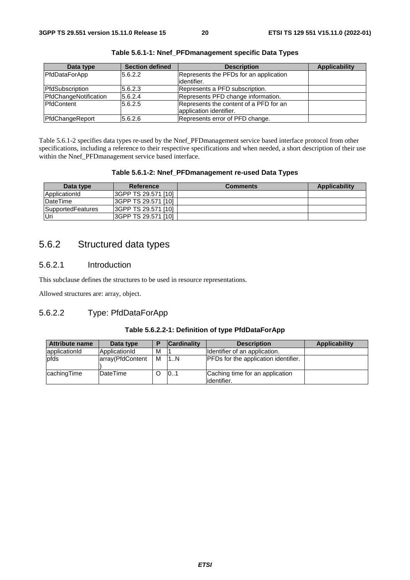| Data type             | <b>Section defined</b> | <b>Description</b>                     | Applicability |
|-----------------------|------------------------|----------------------------------------|---------------|
| PfdDataForApp         | 5.6.2.2                | Represents the PFDs for an application |               |
|                       |                        | lidentifier.                           |               |
| PfdSubscription       | 5.6.2.3                | Represents a PFD subscription.         |               |
| PfdChangeNotification | 5.6.2.4                | Represents PFD change information.     |               |
| <b>IPfdContent</b>    | 5.6.2.5                | Represents the content of a PFD for an |               |
|                       |                        | application identifier.                |               |
| PfdChangeReport       | 5.6.2.6                | Represents error of PFD change.        |               |

Table 5.6.1-2 specifies data types re-used by the Nnef PFDmanagement service based interface protocol from other specifications, including a reference to their respective specifications and when needed, a short description of their use within the Nnef\_PFDmanagement service based interface.

#### **Table 5.6.1-2: Nnef\_PFDmanagement re-used Data Types**

| Data type         | Reference                  | <b>Comments</b> | Applicability |
|-------------------|----------------------------|-----------------|---------------|
| ApplicationId     | I3GPP TS 29.571 [10]       |                 |               |
| DateTime          | 3GPP TS 29.571 [10]        |                 |               |
| SupportedFeatures | <b>SGPP TS 29.571 [10]</b> |                 |               |
| lUri              | 3GPP TS 29.571 [10]        |                 |               |

### 5.6.2 Structured data types

#### 5.6.2.1 Introduction

This subclause defines the structures to be used in resource representations.

Allowed structures are: array, object.

### 5.6.2.2 Type: PfdDataForApp

#### **Table 5.6.2.2-1: Definition of type PfdDataForApp**

| <b>Attribute name</b> | Data type        | Е | <b>Cardinality</b> | <b>Description</b>                              | Applicability |
|-----------------------|------------------|---|--------------------|-------------------------------------------------|---------------|
| applicationId         | ApplicationId    | м |                    | Identifier of an application.                   |               |
| <b>pfds</b>           | array(PfdContent | м | 1N                 | <b>PFDs for the application identifier.</b>     |               |
| cachingTime           | IDateTime        |   | 01                 | Caching time for an application<br>lidentifier. |               |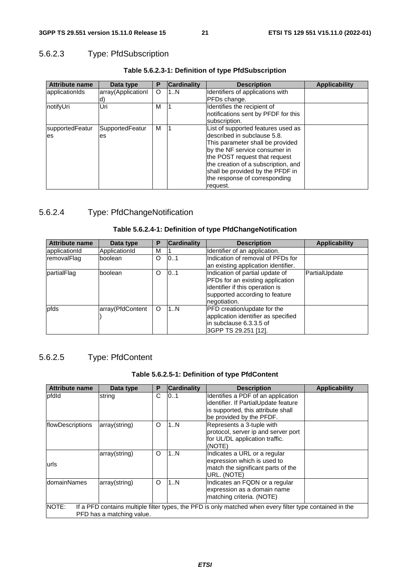### 5.6.2.3 Type: PfdSubscription

| <b>Attribute name</b>  | Data type             | Р | Cardinality | <b>Description</b>                                                                                                                                                                                                                                                                               | <b>Applicability</b> |
|------------------------|-----------------------|---|-------------|--------------------------------------------------------------------------------------------------------------------------------------------------------------------------------------------------------------------------------------------------------------------------------------------------|----------------------|
| lapplicationIds        | array(ApplicationI    | O | 1N          | Identifiers of applications with                                                                                                                                                                                                                                                                 |                      |
|                        |                       |   |             | PFDs change.                                                                                                                                                                                                                                                                                     |                      |
| notifyUri              | Uri                   | м |             | Identifies the recipient of<br>notifications sent by PFDF for this<br>subscription.                                                                                                                                                                                                              |                      |
| supportedFeatur<br>les | SupportedFeatur<br>es | м |             | List of supported features used as<br>ldescribed in subclause 5.8.<br>This parameter shall be provided<br>by the NF service consumer in<br>the POST request that request<br>the creation of a subscription, and<br>shall be provided by the PFDF in<br>the response of corresponding<br>request. |                      |

#### **Table 5.6.2.3-1: Definition of type PfdSubscription**

### 5.6.2.4 Type: PfdChangeNotification

#### **Table 5.6.2.4-1: Definition of type PfdChangeNotification**

| <b>Attribute name</b> | Data type        | Р | <b>Cardinality</b> | <b>Description</b>                                                                                                                                       | <b>Applicability</b> |
|-----------------------|------------------|---|--------------------|----------------------------------------------------------------------------------------------------------------------------------------------------------|----------------------|
| applicationId         | ApplicationId    | M |                    | Identifier of an application.                                                                                                                            |                      |
| removalFlag           | boolean          | O | 0.1                | Indication of removal of PFDs for<br>an existing application identifier.                                                                                 |                      |
| partialFlag           | boolean          | O | 101                | Indication of partial update of<br>PFDs for an existing application<br>identifier if this operation is<br>supported according to feature<br>negotiation. | PartialUpdate        |
| pfds                  | array(PfdContent | O | 1N                 | <b>PFD</b> creation/update for the<br>application identifier as specified<br>in subclause 6.3.3.5 of<br> 3GPP TS 29.251 [12].                            |                      |

### 5.6.2.5 Type: PfdContent

#### **Table 5.6.2.5-1: Definition of type PfdContent**

| <b>Attribute name</b> | Data type                 | P | <b>Cardinality</b> | <b>Description</b>                                                                                                                           | <b>Applicability</b> |
|-----------------------|---------------------------|---|--------------------|----------------------------------------------------------------------------------------------------------------------------------------------|----------------------|
| pfdld                 | string                    | C | 101                | Identifies a PDF of an application<br>identifier. If PartialUpdate feature<br>is supported, this attribute shall<br>be provided by the PFDF. |                      |
| flowDescriptions      | array(string)             | O | 1N                 | Represents a 3-tuple with<br>protocol, server ip and server port<br>for UL/DL application traffic.<br>(NOTE)                                 |                      |
| urls                  | array(string)             | O | 1N                 | Indicates a URL or a regular<br>expression which is used to<br>match the significant parts of the<br>URL. (NOTE)                             |                      |
| domainNames           | array(string)             | O | 1N                 | Indicates an FQDN or a regular<br>expression as a domain name<br>matching criteria. (NOTE)                                                   |                      |
| NOTE:                 | PFD has a matching value. |   |                    | If a PFD contains multiple filter types, the PFD is only matched when every filter type contained in the                                     |                      |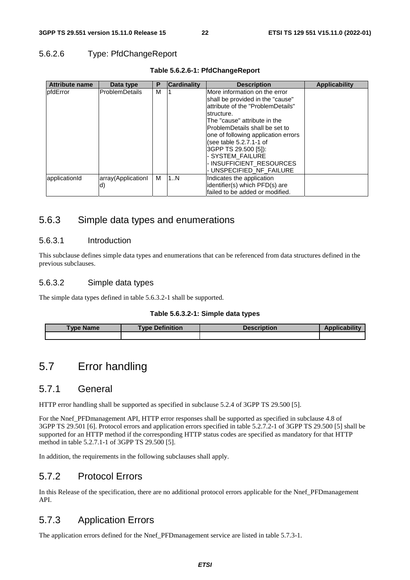#### 5.6.2.6 Type: PfdChangeReport

| <b>Attribute name</b> | Data type                | P | <b>Cardinality</b> | <b>Description</b>                                                                                                                                                                                                                                                                                                                                                | <b>Applicability</b> |
|-----------------------|--------------------------|---|--------------------|-------------------------------------------------------------------------------------------------------------------------------------------------------------------------------------------------------------------------------------------------------------------------------------------------------------------------------------------------------------------|----------------------|
| <b>I</b> pfdError     | <b>ProblemDetails</b>    | М |                    | IMore information on the error<br>shall be provided in the "cause"<br>attribute of the "ProblemDetails"<br>Istructure.<br>lThe "cause" attribute in the<br>lProblemDetails shall be set to<br>one of following application errors<br>(see table 5.2.7.1-1 of<br> 3GPP TS 29.500 [5]):<br>- SYSTEM FAILURE<br>- INSUFFICIENT RESOURCES<br>- UNSPECIFIED NF FAILURE |                      |
| applicationId         | array(Applicationl<br>d) | м | 1N                 | Indicates the application<br>identifier(s) which PFD(s) are<br>Ifailed to be added or modified.                                                                                                                                                                                                                                                                   |                      |

#### **Table 5.6.2.6-1: PfdChangeReport**

### 5.6.3 Simple data types and enumerations

#### 5.6.3.1 Introduction

This subclause defines simple data types and enumerations that can be referenced from data structures defined in the previous subclauses.

### 5.6.3.2 Simple data types

The simple data types defined in table 5.6.3.2-1 shall be supported.

#### **Table 5.6.3.2-1: Simple data types**

| <b>Type Name</b> | <b>Type Definition</b> | <b>Description</b> | <b>Applicability</b> |
|------------------|------------------------|--------------------|----------------------|
|                  |                        |                    |                      |

### 5.7 Error handling

### 5.7.1 General

HTTP error handling shall be supported as specified in subclause 5.2.4 of 3GPP TS 29.500 [5].

For the Nnef\_PFDmanagement API, HTTP error responses shall be supported as specified in subclause 4.8 of 3GPP TS 29.501 [6]. Protocol errors and application errors specified in table 5.2.7.2-1 of 3GPP TS 29.500 [5] shall be supported for an HTTP method if the corresponding HTTP status codes are specified as mandatory for that HTTP method in table 5.2.7.1-1 of 3GPP TS 29.500 [5].

In addition, the requirements in the following subclauses shall apply.

### 5.7.2 Protocol Errors

In this Release of the specification, there are no additional protocol errors applicable for the Nnef\_PFDmanagement API.

### 5.7.3 Application Errors

The application errors defined for the Nnef\_PFDmanagement service are listed in table 5.7.3-1.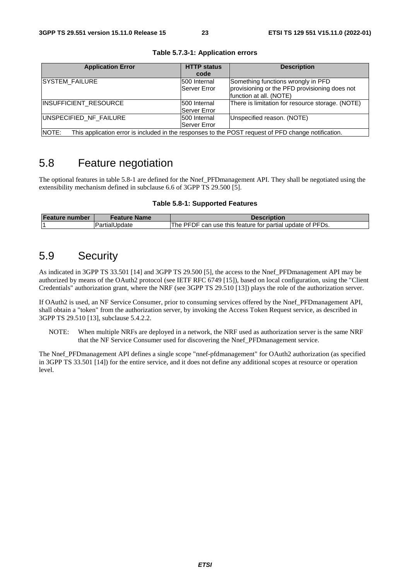| <b>Application Error</b>                                                                                     | <b>HTTP status</b><br>code | <b>Description</b>                               |  |  |
|--------------------------------------------------------------------------------------------------------------|----------------------------|--------------------------------------------------|--|--|
|                                                                                                              |                            |                                                  |  |  |
| <b>ISYSTEM FAILURE</b>                                                                                       | 500 Internal               | Something functions wrongly in PFD               |  |  |
|                                                                                                              | <b>Server Error</b>        | provisioning or the PFD provisioning does not    |  |  |
|                                                                                                              |                            | function at all. (NOTE)                          |  |  |
|                                                                                                              |                            |                                                  |  |  |
| INSUFFICIENT_RESOURCE                                                                                        | 500 Internal               | There is limitation for resource storage. (NOTE) |  |  |
|                                                                                                              | Server Error               |                                                  |  |  |
|                                                                                                              |                            |                                                  |  |  |
| UNSPECIFIED_NF_FAILURE                                                                                       | 500 Internal               | Unspecified reason. (NOTE)                       |  |  |
|                                                                                                              | <b>Server Error</b>        |                                                  |  |  |
| NOTE:<br>This application error is included in the responses to the POST request of PFD change notification. |                            |                                                  |  |  |

**Table 5.7.3-1: Application errors** 

### 5.8 Feature negotiation

The optional features in table 5.8-1 are defined for the Nnef PFDmanagement API. They shall be negotiated using the extensibility mechanism defined in subclause 6.6 of 3GPP TS 29.500 [5].

#### **Table 5.8-1: Supported Features**

| Feature number | Feature Name  | <b>Description</b>                                           |
|----------------|---------------|--------------------------------------------------------------|
|                | PartialUpdate | PFDF can use this feature for partial update of PFDs.<br>The |

### 5.9 Security

As indicated in 3GPP TS 33.501 [14] and 3GPP TS 29.500 [5], the access to the Nnef\_PFDmanagement API may be authorized by means of the OAuth2 protocol (see IETF RFC 6749 [15]), based on local configuration, using the "Client Credentials" authorization grant, where the NRF (see 3GPP TS 29.510 [13]) plays the role of the authorization server.

If OAuth2 is used, an NF Service Consumer, prior to consuming services offered by the Nnef\_PFDmanagement API, shall obtain a "token" from the authorization server, by invoking the Access Token Request service, as described in 3GPP TS 29.510 [13], subclause 5.4.2.2.

NOTE: When multiple NRFs are deployed in a network, the NRF used as authorization server is the same NRF that the NF Service Consumer used for discovering the Nnef\_PFDmanagement service.

The Nnef\_PFDmanagement API defines a single scope "nnef-pfdmanagement" for OAuth2 authorization (as specified in 3GPP TS 33.501 [14]) for the entire service, and it does not define any additional scopes at resource or operation level.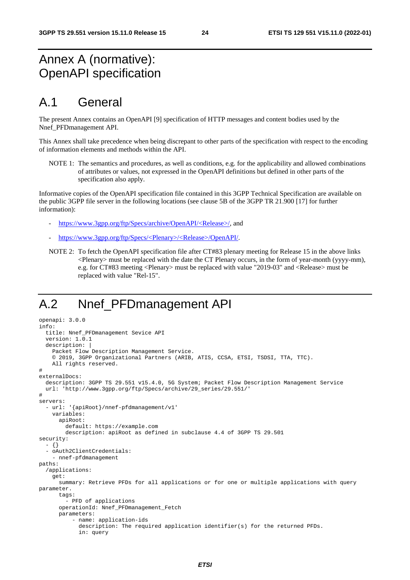# Annex A (normative): OpenAPI specification

### A.1 General

The present Annex contains an OpenAPI [9] specification of HTTP messages and content bodies used by the Nnef\_PFDmanagement API.

This Annex shall take precedence when being discrepant to other parts of the specification with respect to the encoding of information elements and methods within the API.

NOTE 1: The semantics and procedures, as well as conditions, e.g. for the applicability and allowed combinations of attributes or values, not expressed in the OpenAPI definitions but defined in other parts of the specification also apply.

Informative copies of the OpenAPI specification file contained in this 3GPP Technical Specification are available on the public 3GPP file server in the following locations (see clause 5B of the 3GPP TR 21.900 [17] for further information):

- [https://www.3gpp.org/ftp/Specs/archive/OpenAPI/<Release>/](https://www.3gpp.org/ftp/Specs/archive/OpenAPI/%3cRelease%3e/), and
- [https://www.3gpp.org/ftp/Specs/<Plenary>/<Release>/OpenAPI/.](https://www.3gpp.org/ftp/Specs/%3cPlenary%3e/%3cRelease%3e/OpenAPI/)
- NOTE 2: To fetch the OpenAPI specification file after CT#83 plenary meeting for Release 15 in the above links <Plenary> must be replaced with the date the CT Plenary occurs, in the form of year-month (yyyy-mm), e.g. for CT#83 meeting <Plenary> must be replaced with value "2019-03" and <Release> must be replaced with value "Rel-15".

# A.2 Nnef\_PFDmanagement API

```
openapi: 3.0.0 
info: 
   title: Nnef_PFDmanagement Sevice API 
   version: 1.0.1 
   description: | 
     Packet Flow Description Management Service. 
     © 2019, 3GPP Organizational Partners (ARIB, ATIS, CCSA, ETSI, TSDSI, TTA, TTC). 
     All rights reserved. 
# 
externalDocs: 
   description: 3GPP TS 29.551 v15.4.0, 5G System; Packet Flow Description Management Service 
   url: 'http://www.3gpp.org/ftp/Specs/archive/29_series/29.551/' 
# 
servers: 
   - url: '{apiRoot}/nnef-pfdmanagement/v1' 
     variables: 
       apiRoot: 
         default: https://example.com 
         description: apiRoot as defined in subclause 4.4 of 3GPP TS 29.501 
security: 
   - {} 
   - oAuth2ClientCredentials: 
     - nnef-pfdmanagement 
paths: 
   /applications: 
     get: 
       summary: Retrieve PFDs for all applications or for one or multiple applications with query 
parameter. 
       tags: 
         - PFD of applications 
       operationId: Nnef_PFDmanagement_Fetch 
       parameters: 
            - name: application-ids 
              description: The required application identifier(s) for the returned PFDs. 
              in: query
```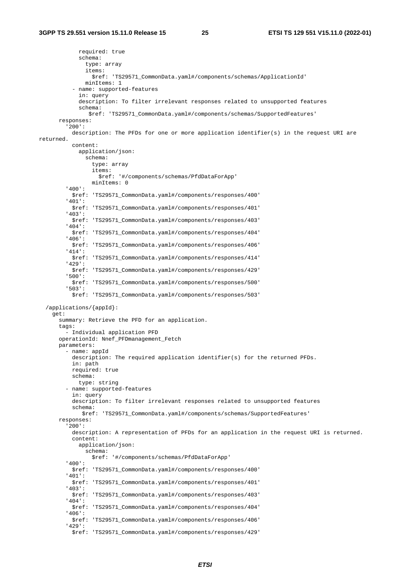required: true schema: type: array items: \$ref: 'TS29571\_CommonData.yaml#/components/schemas/ApplicationId' minItems: 1 - name: supported-features in: query description: To filter irrelevant responses related to unsupported features schema: \$ref: 'TS29571\_CommonData.yaml#/components/schemas/SupportedFeatures' responses: '200': description: The PFDs for one or more application identifier(s) in the request URI are returned. content: application/json: schema: type: array items: \$ref: '#/components/schemas/PfdDataForApp' minItems: 0 '400': \$ref: 'TS29571\_CommonData.yaml#/components/responses/400' '401': \$ref: 'TS29571\_CommonData.yaml#/components/responses/401' '403': \$ref: 'TS29571\_CommonData.yaml#/components/responses/403' '404': \$ref: 'TS29571\_CommonData.yaml#/components/responses/404' '406': \$ref: 'TS29571\_CommonData.yaml#/components/responses/406' '414': \$ref: 'TS29571\_CommonData.yaml#/components/responses/414' '429': \$ref: 'TS29571\_CommonData.yaml#/components/responses/429' '500': \$ref: 'TS29571\_CommonData.yaml#/components/responses/500' '503': \$ref: 'TS29571\_CommonData.yaml#/components/responses/503' /applications/{appId}: get: summary: Retrieve the PFD for an application. tags: - Individual application PFD operationId: Nnef\_PFDmanagement\_Fetch parameters: - name: appId description: The required application identifier(s) for the returned PFDs. in: path required: true schema: type: string - name: supported-features in: query description: To filter irrelevant responses related to unsupported features schema: \$ref: 'TS29571\_CommonData.yaml#/components/schemas/SupportedFeatures' responses: '200': description: A representation of PFDs for an application in the request URI is returned. content: application/json: schema: \$ref: '#/components/schemas/PfdDataForApp' '400': \$ref: 'TS29571\_CommonData.yaml#/components/responses/400' '401': \$ref: 'TS29571\_CommonData.yaml#/components/responses/401' '403': \$ref: 'TS29571\_CommonData.yaml#/components/responses/403' '404': \$ref: 'TS29571\_CommonData.yaml#/components/responses/404' '406': \$ref: 'TS29571\_CommonData.yaml#/components/responses/406' '429': \$ref: 'TS29571\_CommonData.yaml#/components/responses/429'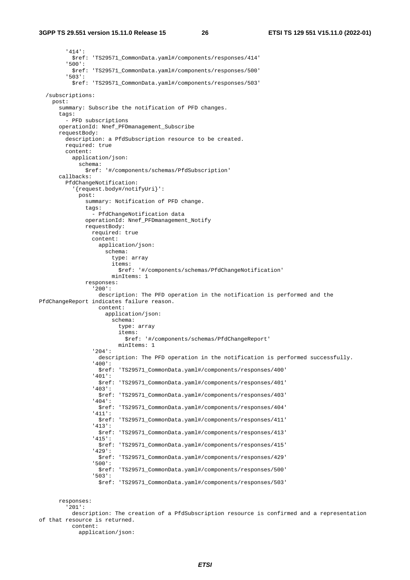'414': \$ref: 'TS29571\_CommonData.yaml#/components/responses/414' '500': \$ref: 'TS29571\_CommonData.yaml#/components/responses/500' '503': \$ref: 'TS29571\_CommonData.yaml#/components/responses/503' /subscriptions: post: summary: Subscribe the notification of PFD changes. tags: - PFD subscriptions operationId: Nnef\_PFDmanagement\_Subscribe requestBody: description: a PfdSubscription resource to be created. required: true content: application/json: schema: \$ref: '#/components/schemas/PfdSubscription' callbacks: PfdChangeNotification: '{request.body#/notifyUri}': post: summary: Notification of PFD change. tags: - PfdChangeNotification data operationId: Nnef\_PFDmanagement\_Notify requestBody: required: true content: application/json: schema: type: array items: \$ref: '#/components/schemas/PfdChangeNotification' minItems: 1 responses: '200': description: The PFD operation in the notification is performed and the PfdChangeReport indicates failure reason. content: application/json: schema: type: array items: \$ref: '#/components/schemas/PfdChangeReport' minItems: 1 '204': description: The PFD operation in the notification is performed successfully. '400': \$ref: 'TS29571\_CommonData.yaml#/components/responses/400' '401': \$ref: 'TS29571\_CommonData.yaml#/components/responses/401' '403': \$ref: 'TS29571\_CommonData.yaml#/components/responses/403' '404': \$ref: 'TS29571\_CommonData.yaml#/components/responses/404' '411': \$ref: 'TS29571\_CommonData.yaml#/components/responses/411' '413': \$ref: 'TS29571\_CommonData.yaml#/components/responses/413' '415': \$ref: 'TS29571\_CommonData.yaml#/components/responses/415' '429': \$ref: 'TS29571\_CommonData.yaml#/components/responses/429' '500': \$ref: 'TS29571\_CommonData.yaml#/components/responses/500' '503': \$ref: 'TS29571\_CommonData.yaml#/components/responses/503' responses: '201': description: The creation of a PfdSubscription resource is confirmed and a representation of that resource is returned. content:

application/json:

*ETSI*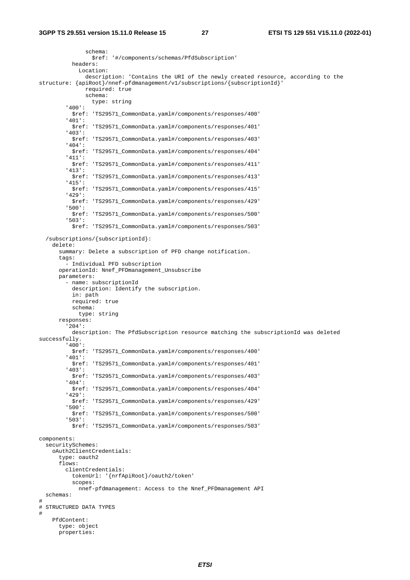schema: \$ref: '#/components/schemas/PfdSubscription' headers: Location: description: 'Contains the URI of the newly created resource, according to the structure: {apiRoot}/nnef-pfdmanagement/v1/subscriptions/{subscriptionId}' required: true schema: type: string '400': \$ref: 'TS29571\_CommonData.yaml#/components/responses/400' '401': \$ref: 'TS29571\_CommonData.yaml#/components/responses/401' '403': \$ref: 'TS29571\_CommonData.yaml#/components/responses/403' '404': \$ref: 'TS29571\_CommonData.yaml#/components/responses/404' '411': \$ref: 'TS29571\_CommonData.yaml#/components/responses/411' '413': \$ref: 'TS29571\_CommonData.yaml#/components/responses/413' '415': \$ref: 'TS29571\_CommonData.yaml#/components/responses/415' '429': \$ref: 'TS29571\_CommonData.yaml#/components/responses/429' '500': \$ref: 'TS29571\_CommonData.yaml#/components/responses/500' '503': \$ref: 'TS29571\_CommonData.yaml#/components/responses/503' /subscriptions/{subscriptionId}: delete: summary: Delete a subscription of PFD change notification. tags: - Individual PFD subscription operationId: Nnef\_PFDmanagement\_Unsubscribe parameters: - name: subscriptionId description: Identify the subscription. in: path required: true schema: type: string responses: '204': description: The PfdSubscription resource matching the subscriptionId was deleted successfully. '400': \$ref: 'TS29571\_CommonData.yaml#/components/responses/400' '401': \$ref: 'TS29571\_CommonData.yaml#/components/responses/401' '403': \$ref: 'TS29571\_CommonData.yaml#/components/responses/403' '404': \$ref: 'TS29571\_CommonData.yaml#/components/responses/404' '429': \$ref: 'TS29571\_CommonData.yaml#/components/responses/429' '500': \$ref: 'TS29571\_CommonData.yaml#/components/responses/500' '503': \$ref: 'TS29571\_CommonData.yaml#/components/responses/503' components: securitySchemes: oAuth2ClientCredentials: type: oauth2 flows: clientCredentials: tokenUrl: '{nrfApiRoot}/oauth2/token' scopes: nnef-pfdmanagement: Access to the Nnef\_PFDmanagement API schemas: # # STRUCTURED DATA TYPES # PfdContent: type: object properties: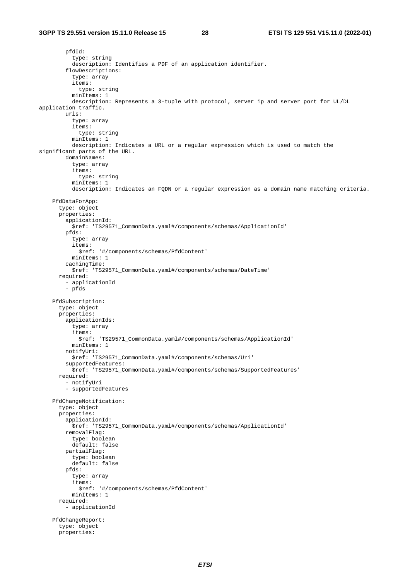pfdId: type: string description: Identifies a PDF of an application identifier. flowDescriptions: type: array items: type: string minTtems: 1 description: Represents a 3-tuple with protocol, server ip and server port for UL/DL application traffic. urls: type: array items: type: string minItems: 1 description: Indicates a URL or a regular expression which is used to match the significant parts of the URL. domainNames: type: array items: type: string minItems: 1 description: Indicates an FQDN or a regular expression as a domain name matching criteria. PfdDataForApp: type: object properties: applicationId: \$ref: 'TS29571\_CommonData.yaml#/components/schemas/ApplicationId' pfds: type: array items: \$ref: '#/components/schemas/PfdContent' minItems: 1 cachingTime: \$ref: 'TS29571\_CommonData.yaml#/components/schemas/DateTime' required: - applicationId - pfds PfdSubscription: type: object properties: applicationIds: type: array items: \$ref: 'TS29571\_CommonData.yaml#/components/schemas/ApplicationId' minItems: 1 notifyUri: \$ref: 'TS29571\_CommonData.yaml#/components/schemas/Uri' supportedFeatures: \$ref: 'TS29571\_CommonData.yaml#/components/schemas/SupportedFeatures' required: - notifyUri - supportedFeatures PfdChangeNotification: type: object properties: applicationId: \$ref: 'TS29571\_CommonData.yaml#/components/schemas/ApplicationId' removalFlag: type: boolean default: false partialFlag: type: boolean default: false pfds: type: array items: \$ref: '#/components/schemas/PfdContent' minItems: 1 required: - applicationId PfdChangeReport: type: object properties: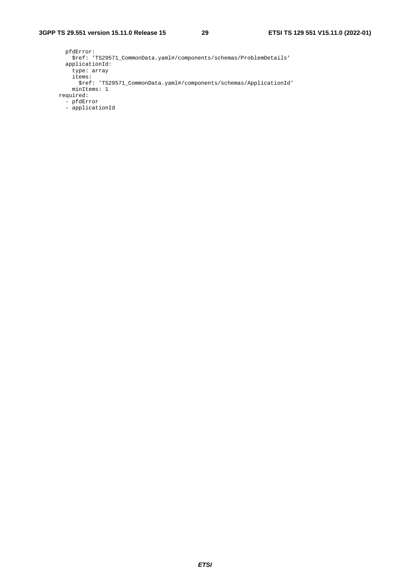```
 pfdError: 
          $ref: 'TS29571_CommonData.yaml#/components/schemas/ProblemDetails' 
        applicationId: 
          type: array 
          items: 
           $ref: 'TS29571_CommonData.yaml#/components/schemas/ApplicationId' 
          minItems: 1 
      required: 
 - pfdError 
 - applicationId
```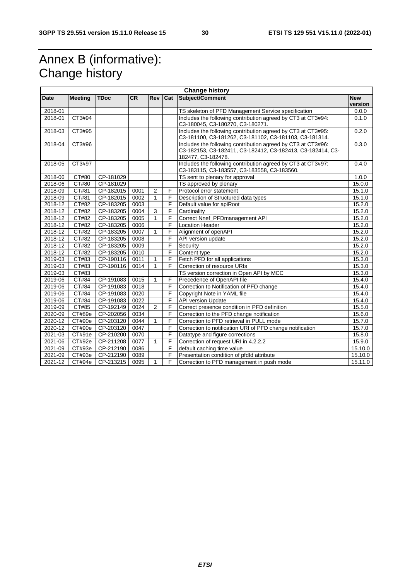# Annex B (informative): Change history

|             | <b>Change history</b> |             |           |                |     |                                                              |         |
|-------------|-----------------------|-------------|-----------|----------------|-----|--------------------------------------------------------------|---------|
| Date        | <b>Meeting</b>        | <b>TDoc</b> | <b>CR</b> | Rev            | Cat | Subject/Comment<br><b>New</b>                                |         |
|             |                       |             |           |                |     |                                                              | version |
| 2018-01     |                       |             |           |                |     | TS skeleton of PFD Management Service specification          | 0.0.0   |
| 2018-01     | CT3#94                |             |           |                |     | Includes the following contribution agreed by CT3 at CT3#94: | 0.1.0   |
|             |                       |             |           |                |     | C3-180045, C3-180270, C3-180271.                             |         |
| 2018-03     | CT3#95                |             |           |                |     | Includes the following contribution agreed by CT3 at CT3#95: | 0.2.0   |
|             |                       |             |           |                |     | C3-181100, C3-181262, C3-181102, C3-181103, C3-181314.       |         |
| 2018-04     | CT3#96                |             |           |                |     | Includes the following contribution agreed by CT3 at CT3#96: | 0.3.0   |
|             |                       |             |           |                |     | C3-182153, C3-182411, C3-182412, C3-182413, C3-182414, C3-   |         |
|             |                       |             |           |                |     | 182477, C3-182478.                                           |         |
| 2018-05     | CT3#97                |             |           |                |     | Includes the following contribution agreed by CT3 at CT3#97: | 0.4.0   |
| 2018-06     | CT#80                 | CP-181029   |           |                |     | C3-183115, C3-183557, C3-183558, C3-183560.                  | 1.0.0   |
| 2018-06     | CT#80                 | CP-181029   |           |                |     | TS sent to plenary for approval<br>TS approved by plenary    | 15.0.0  |
| 2018-09     | CT#81                 | CP-182015   | 0001      | $\overline{2}$ | F   | Protocol error statement                                     | 15.1.0  |
| 2018-09     | CT#81                 | CP-182015   | 0002      | $\mathbf{1}$   | F   | Description of Structured data types                         | 15.1.0  |
| 2018-12     | CT#82                 | CP-183205   | 0003      |                | F   | Default value for apiRoot                                    | 15.2.0  |
| $2018 - 12$ | CT#82                 | CP-183205   | 0004      | 3              | F   | Cardinality                                                  | 15.2.0  |
| 2018-12     | CT#82                 | CP-183205   | 0005      | $\mathbf{1}$   | F   | Correct Nnef_PFDmanagement API                               | 15.2.0  |
| 2018-12     | CT#82                 | CP-183205   | 0006      |                | F   | <b>Location Header</b>                                       | 15.2.0  |
| 2018-12     | CT#82                 | CP-183205   | 0007      | 1              | F   | Alignment of openAPI                                         | 15.2.0  |
| 2018-12     | CT#82                 | CP-183205   | 0008      |                | F   | API version update                                           | 15.2.0  |
| 2018-12     | CT#82                 | CP-183205   | 0009      |                | F   | Security                                                     | 15.2.0  |
| 2018-12     | CT#82                 | CP-183205   | 0010      |                | F   | Content type                                                 | 15.2.0  |
| 2019-03     | CT#83                 | CP-190116   | 0011      |                | F   | Fetch PFD for all applications                               | 15.3.0  |
| 2019-03     | CT#83                 | CP-190116   | 0014      | 1              | F   | Correction of resource URIs                                  | 15.3.0  |
| 2019-03     | CT#83                 |             |           |                |     | TS version correction in Open API by MCC                     | 15.3.0  |
| 2019-06     | CT#84                 | CP-191083   | 0015      | 1              | F   | Precedence of OpenAPI file                                   | 15.4.0  |
| 2019-06     | CT#84                 | CP-191083   | 0018      |                | F   | Correction to Notification of PFD change                     | 15.4.0  |
| 2019-06     | CT#84                 | CP-191083   | 0020      |                | F   | Copyright Note in YAML file                                  | 15.4.0  |
| 2019-06     | CT#84                 | CP-191083   | 0022      |                | F   | <b>API version Update</b>                                    | 15.4.0  |
| 2019-09     | CT#85                 | CP-192149   | 0024      | 2              | F   | Correct presence condition in PFD definition                 | 15.5.0  |
| 2020-09     | CT#89e                | CP-202056   | 0034      |                | F   | Correction to the PFD change notification                    | 15.6.0  |
| 2020-12     | CT#90e                | CP-203120   | 0044      |                | F   | Correction to PFD retrieval in PULL mode                     | 15.7.0  |
| 2020-12     | CT#90e                | CP-203120   | 0047      |                | F   | Correction to notification URI of PFD change notification    | 15.7.0  |
| 2021-03     | CT#91e                | CP-210200   | 0070      |                | F   | Datatype and figure corrections                              | 15.8.0  |
| 2021-06     | CT#92e                | CP-211208   | 0077      | 1              | F   | Correction of request URI in 4.2.2.2                         | 15.9.0  |
| 2021-09     | CT#93e                | CP-212190   | 0086      |                | F   | default caching time value                                   | 15.10.0 |
| 2021-09     | CT#93e                | CP-212190   | 0089      |                | F   | Presentation condition of pfdld attribute                    | 15.10.0 |
| 2021-12     | CT#94e                | CP-213215   | 0095      | 1              | F   | Correction to PFD management in push mode                    | 15.11.0 |
|             |                       |             |           |                |     |                                                              |         |